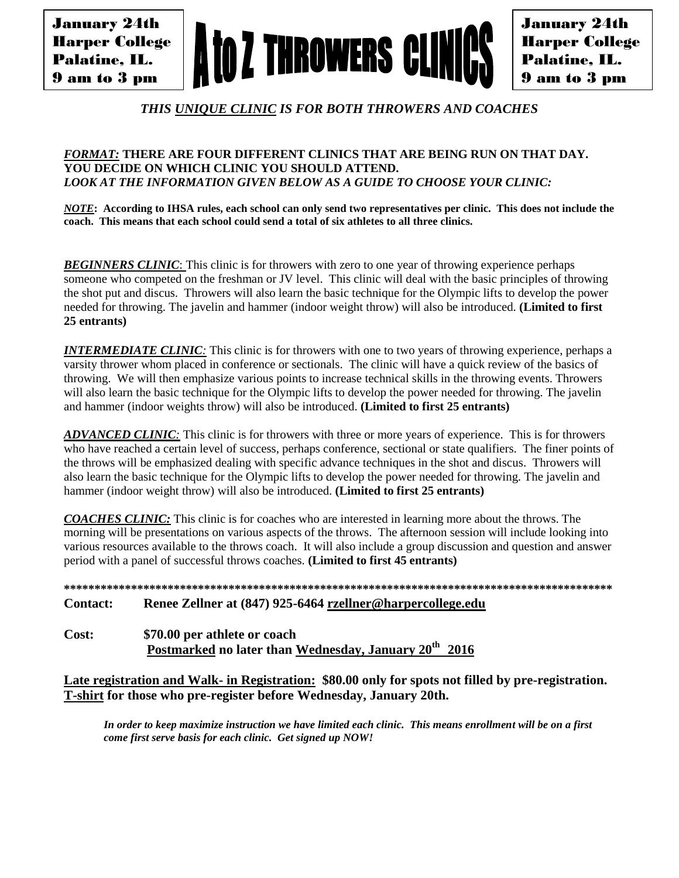January 24th Harper College Palatine, IL. 9 am to 3 pm



January 24th Harper College Palatine, IL. 9 am to 3 pm

*THIS UNIQUE CLINIC IS FOR BOTH THROWERS AND COACHES*

### *FORMAT:* **THERE ARE FOUR DIFFERENT CLINICS THAT ARE BEING RUN ON THAT DAY. YOU DECIDE ON WHICH CLINIC YOU SHOULD ATTEND.** *LOOK AT THE INFORMATION GIVEN BELOW AS A GUIDE TO CHOOSE YOUR CLINIC:*

*NOTE***: According to IHSA rules, each school can only send two representatives per clinic. This does not include the coach. This means that each school could send a total of six athletes to all three clinics.**

**BEGINNERS CLINIC:** This clinic is for throwers with zero to one year of throwing experience perhaps someone who competed on the freshman or JV level. This clinic will deal with the basic principles of throwing the shot put and discus. Throwers will also learn the basic technique for the Olympic lifts to develop the power needed for throwing. The javelin and hammer (indoor weight throw) will also be introduced. **(Limited to first 25 entrants)**

*INTERMEDIATE CLINIC*: This clinic is for throwers with one to two years of throwing experience, perhaps a varsity thrower whom placed in conference or sectionals. The clinic will have a quick review of the basics of throwing. We will then emphasize various points to increase technical skills in the throwing events. Throwers will also learn the basic technique for the Olympic lifts to develop the power needed for throwing. The javelin and hammer (indoor weights throw) will also be introduced. **(Limited to first 25 entrants)**

*ADVANCED CLINIC:* This clinic is for throwers with three or more years of experience. This is for throwers who have reached a certain level of success, perhaps conference, sectional or state qualifiers. The finer points of the throws will be emphasized dealing with specific advance techniques in the shot and discus. Throwers will also learn the basic technique for the Olympic lifts to develop the power needed for throwing. The javelin and hammer (indoor weight throw) will also be introduced. **(Limited to first 25 entrants)**

*COACHES CLINIC:* This clinic is for coaches who are interested in learning more about the throws. The morning will be presentations on various aspects of the throws. The afternoon session will include looking into various resources available to the throws coach. It will also include a group discussion and question and answer period with a panel of successful throws coaches. **(Limited to first 45 entrants)**

**\*\*\*\*\*\*\*\*\*\*\*\*\*\*\*\*\*\*\*\*\*\*\*\*\*\*\*\*\*\*\*\*\*\*\*\*\*\*\*\*\*\*\*\*\*\*\*\*\*\*\*\*\*\*\*\*\*\*\*\*\*\*\*\*\*\*\*\*\*\*\*\*\*\*\*\*\*\*\*\*\*\*\*\*\*\*\*\*\*\***

# **Contact: Renee Zellner at (847) 925-6464 rzellner@harpercollege.edu**

**Cost: \$70.00 per athlete or coach Postmarked no later than Wednesday, January 20 th 2016**

**Late registration and Walk- in Registration: \$80.00 only for spots not filled by pre-registration. T-shirt for those who pre-register before Wednesday, January 20th.** 

*In order to keep maximize instruction we have limited each clinic. This means enrollment will be on a first come first serve basis for each clinic. Get signed up NOW!*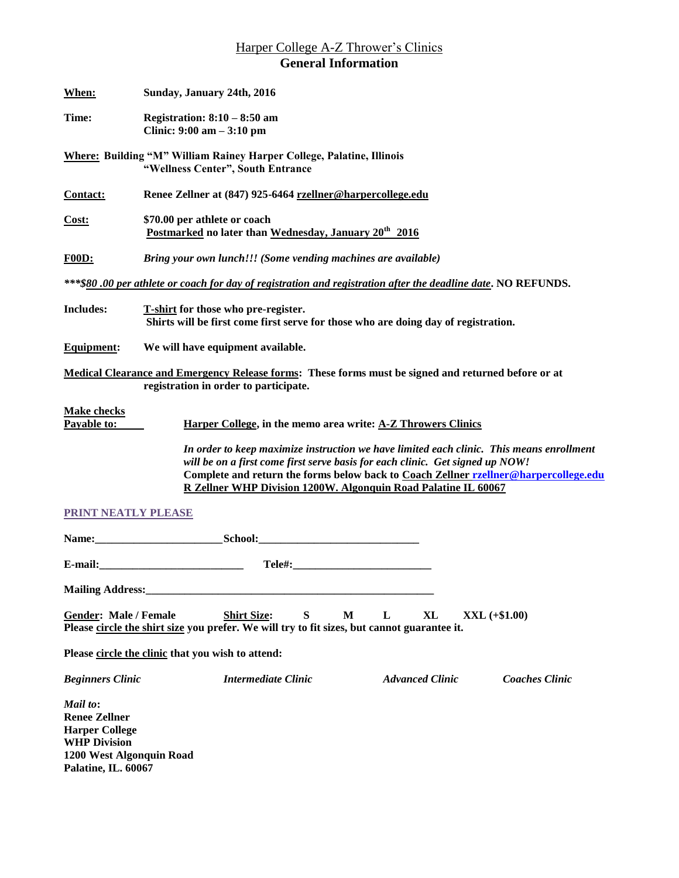# Harper College A-Z Thrower's Clinics **General Information**

| When:                                                                                                                                                                                                                                                                                                                               | Sunday, January 24th, 2016                                                                                                |  |  |  |  |  |
|-------------------------------------------------------------------------------------------------------------------------------------------------------------------------------------------------------------------------------------------------------------------------------------------------------------------------------------|---------------------------------------------------------------------------------------------------------------------------|--|--|--|--|--|
| Time:                                                                                                                                                                                                                                                                                                                               | Registration: $8:10 - 8:50$ am<br>Clinic: $9:00 \text{ am} - 3:10 \text{ pm}$                                             |  |  |  |  |  |
|                                                                                                                                                                                                                                                                                                                                     | <b>Where: Building "M" William Rainey Harper College, Palatine, Illinois</b><br>"Wellness Center", South Entrance         |  |  |  |  |  |
| Contact:                                                                                                                                                                                                                                                                                                                            | Renee Zellner at (847) 925-6464 rzellner@harpercollege.edu                                                                |  |  |  |  |  |
| <u>Cost:</u>                                                                                                                                                                                                                                                                                                                        | \$70.00 per athlete or coach<br>Postmarked no later than Wednesday, January 20 <sup>th</sup> 2016                         |  |  |  |  |  |
| <b>F00D:</b>                                                                                                                                                                                                                                                                                                                        | Bring your own lunch!!! (Some vending machines are available)                                                             |  |  |  |  |  |
|                                                                                                                                                                                                                                                                                                                                     | ***\$80.00 per athlete or coach for day of registration and registration after the deadline date. NO REFUNDS.             |  |  |  |  |  |
| <b>Includes:</b>                                                                                                                                                                                                                                                                                                                    | T-shirt for those who pre-register.<br>Shirts will be first come first serve for those who are doing day of registration. |  |  |  |  |  |
| <b>Equipment:</b>                                                                                                                                                                                                                                                                                                                   | We will have equipment available.                                                                                         |  |  |  |  |  |
| Medical Clearance and Emergency Release forms: These forms must be signed and returned before or at<br>registration in order to participate.                                                                                                                                                                                        |                                                                                                                           |  |  |  |  |  |
| <b>Make checks</b><br>Payable to:<br>Harper College, in the memo area write: A-Z Throwers Clinics                                                                                                                                                                                                                                   |                                                                                                                           |  |  |  |  |  |
| In order to keep maximize instruction we have limited each clinic. This means enrollment<br>will be on a first come first serve basis for each clinic. Get signed up NOW!<br>Complete and return the forms below back to Coach Zellner rzellner@harpercollege.edu<br>R Zellner WHP Division 1200W. Algonquin Road Palatine IL 60067 |                                                                                                                           |  |  |  |  |  |
| <b>PRINT NEATLY PLEASE</b>                                                                                                                                                                                                                                                                                                          |                                                                                                                           |  |  |  |  |  |
|                                                                                                                                                                                                                                                                                                                                     | Name: School:                                                                                                             |  |  |  |  |  |
|                                                                                                                                                                                                                                                                                                                                     |                                                                                                                           |  |  |  |  |  |
| <b>Mailing Address:</b>                                                                                                                                                                                                                                                                                                             |                                                                                                                           |  |  |  |  |  |
| S<br>L<br><b>Gender: Male / Female</b><br><b>Shirt Size:</b><br>M<br>XL<br>$XXL (+\$1.00)$<br>Please circle the shirt size you prefer. We will try to fit sizes, but cannot guarantee it.                                                                                                                                           |                                                                                                                           |  |  |  |  |  |
| Please circle the clinic that you wish to attend:                                                                                                                                                                                                                                                                                   |                                                                                                                           |  |  |  |  |  |
| <b>Beginners Clinic</b>                                                                                                                                                                                                                                                                                                             | Intermediate Clinic<br><b>Advanced Clinic</b><br><b>Coaches Clinic</b>                                                    |  |  |  |  |  |
| Mail to:<br><b>Renee Zellner</b><br><b>Harper College</b><br><b>WHP Division</b>                                                                                                                                                                                                                                                    |                                                                                                                           |  |  |  |  |  |

**WHP Division 1200 West Algonquin Road Palatine, IL. 60067**